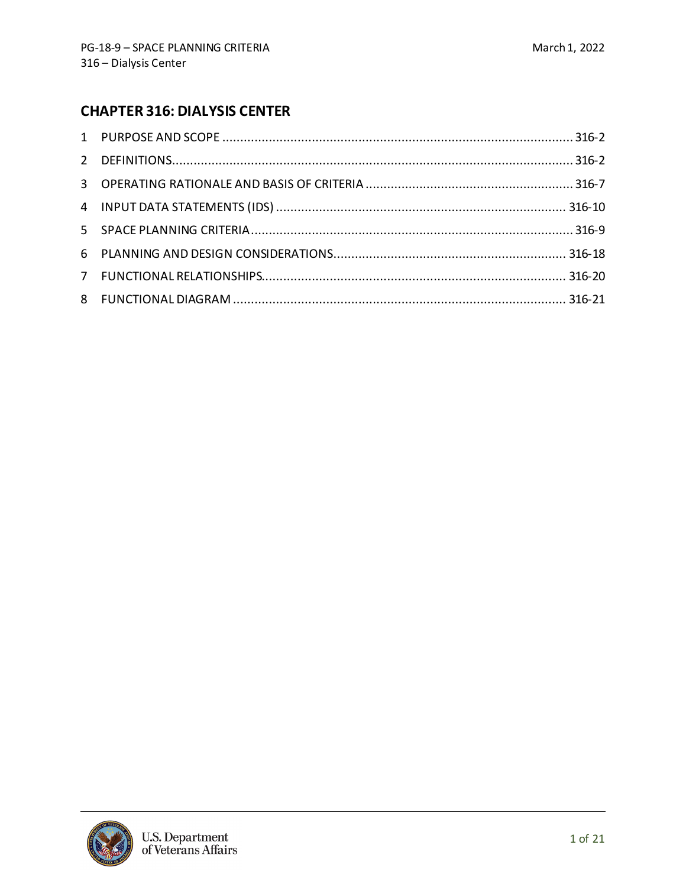# **CHAPTER 316: DIALYSIS CENTER**

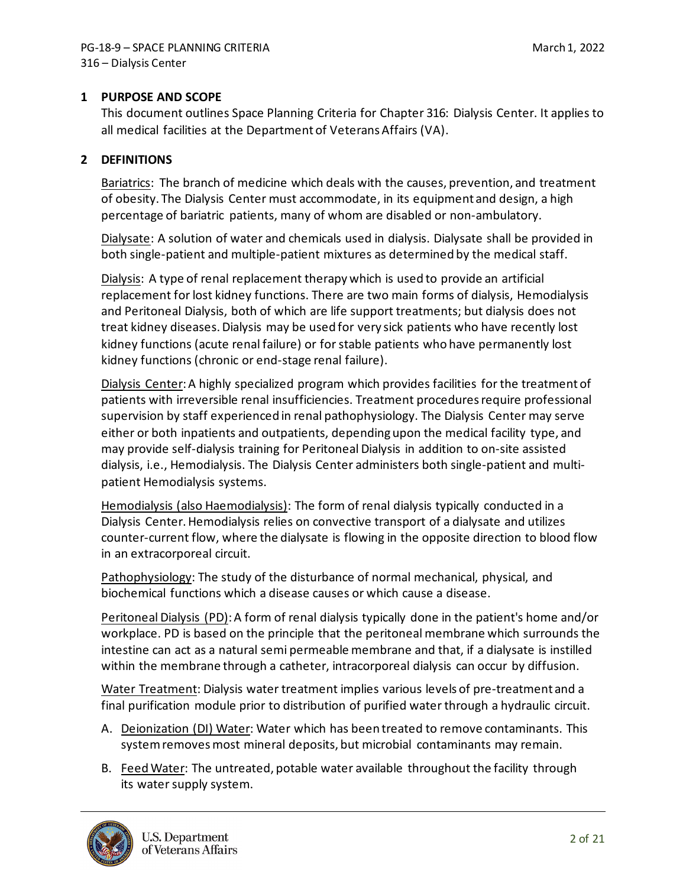## <span id="page-1-0"></span>**1 PURPOSE AND SCOPE**

This document outlines Space Planning Criteria for Chapter 316: Dialysis Center. It applies to all medical facilities at the Department of Veterans Affairs (VA).

## <span id="page-1-1"></span>**2 DEFINITIONS**

Bariatrics: The branch of medicine which deals with the causes, prevention, and treatment of obesity. The Dialysis Center must accommodate, in its equipment and design, a high percentage of bariatric patients, many of whom are disabled or non-ambulatory.

Dialysate: A solution of water and chemicals used in dialysis. Dialysate shall be provided in both single-patient and multiple-patient mixtures as determined by the medical staff.

Dialysis: A type of renal replacement therapy which is used to provide an artificial replacement for lost kidney functions. There are two main forms of dialysis, Hemodialysis and Peritoneal Dialysis, both of which are life support treatments; but dialysis does not treat kidney diseases. Dialysis may be used for very sick patients who have recently lost kidney functions (acute renal failure) or for stable patients who have permanently lost kidney functions (chronic or end-stage renal failure).

Dialysis Center: A highly specialized program which provides facilities for the treatment of patients with irreversible renal insufficiencies. Treatment procedures require professional supervision by staff experienced in renal pathophysiology. The Dialysis Center may serve either or both inpatients and outpatients, depending upon the medical facility type, and may provide self-dialysis training for Peritoneal Dialysis in addition to on-site assisted dialysis, i.e., Hemodialysis. The Dialysis Center administers both single-patient and multipatient Hemodialysis systems.

Hemodialysis (also Haemodialysis): The form of renal dialysis typically conducted in a Dialysis Center. Hemodialysis relies on convective transport of a dialysate and utilizes counter-current flow, where the dialysate is flowing in the opposite direction to blood flow in an extracorporeal circuit.

Pathophysiology: The study of the disturbance of normal mechanical, physical, and biochemical functions which a disease causes or which cause a disease.

Peritoneal Dialysis (PD): A form of renal dialysis typically done in the patient's home and/or workplace. PD is based on the principle that the peritoneal membrane which surrounds the intestine can act as a natural semi permeable membrane and that, if a dialysate is instilled within the membrane through a catheter, intracorporeal dialysis can occur by diffusion.

Water Treatment: Dialysis water treatment implies various levels of pre-treatment and a final purification module prior to distribution of purified water through a hydraulic circuit.

- A. Deionization (DI) Water: Water which has been treated to remove contaminants. This system removes most mineral deposits, but microbial contaminants may remain.
- B. Feed Water: The untreated, potable water available throughout the facility through its water supply system.

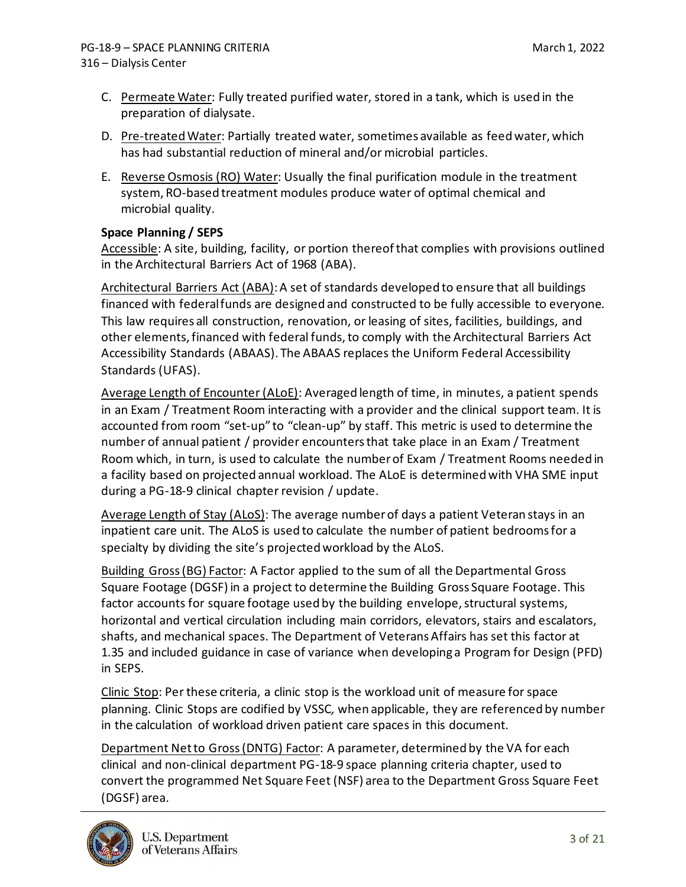- C. Permeate Water: Fully treated purified water, stored in a tank, which is used in the preparation of dialysate.
- D. Pre-treated Water: Partially treated water, sometimes available as feed water, which has had substantial reduction of mineral and/or microbial particles.
- E. Reverse Osmosis (RO) Water: Usually the final purification module in the treatment system, RO-based treatment modules produce water of optimal chemical and microbial quality.

## **Space Planning / SEPS**

Accessible: A site, building, facility, or portion thereof that complies with provisions outlined in the Architectural Barriers Act of 1968 (ABA).

Architectural Barriers Act (ABA): A set of standards developed to ensure that all buildings financed with federal funds are designed and constructed to be fully accessible to everyone. This law requires all construction, renovation, or leasing of sites, facilities, buildings, and other elements, financed with federal funds, to comply with the Architectural Barriers Act Accessibility Standards (ABAAS). The ABAAS replaces the Uniform Federal Accessibility Standards (UFAS).

Average Length of Encounter (ALoE): Averaged length of time, in minutes, a patient spends in an Exam / Treatment Room interacting with a provider and the clinical support team. It is accounted from room "set-up" to "clean-up" by staff. This metric is used to determine the number of annual patient / provider encounters that take place in an Exam / Treatment Room which, in turn, is used to calculate the number of Exam / Treatment Rooms needed in a facility based on projected annual workload. The ALoE is determined with VHA SME input during a PG-18-9 clinical chapter revision / update.

Average Length of Stay (ALoS): The average number of days a patient Veteran stays in an inpatient care unit. The ALoS is used to calculate the number of patient bedrooms for a specialty by dividing the site's projected workload by the ALoS.

Building Gross (BG) Factor: A Factor applied to the sum of all the Departmental Gross Square Footage (DGSF) in a project to determine the Building Gross Square Footage. This factor accounts for square footage used by the building envelope, structural systems, horizontal and vertical circulation including main corridors, elevators, stairs and escalators, shafts, and mechanical spaces. The Department of Veterans Affairs has set this factor at 1.35 and included guidance in case of variance when developing a Program for Design (PFD) in SEPS.

Clinic Stop: Per these criteria, a clinic stop is the workload unit of measure for space planning. Clinic Stops are codified by VSSC*,* when applicable, they are referenced by number in the calculation of workload driven patient care spaces in this document.

Department Net to Gross (DNTG) Factor: A parameter, determined by the VA for each clinical and non-clinical department PG-18-9 space planning criteria chapter, used to convert the programmed Net Square Feet (NSF) area to the Department Gross Square Feet (DGSF) area.

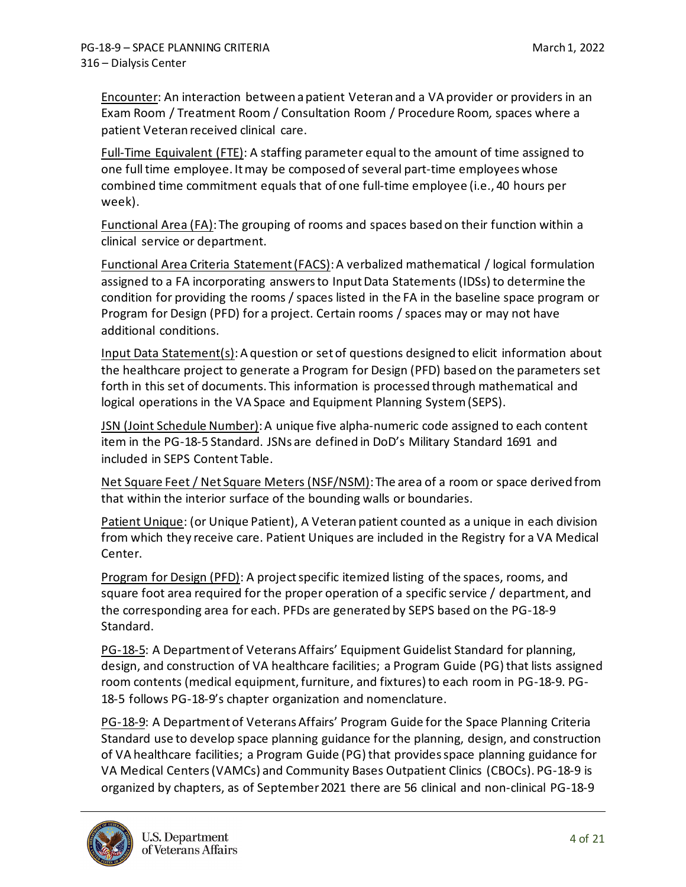Encounter: An interaction between a patient Veteran and a VA provider or providers in an Exam Room / Treatment Room / Consultation Room / Procedure Room*,* spaces where a patient Veteran received clinical care.

Full-Time Equivalent (FTE): A staffing parameter equal to the amount of time assigned to one full time employee. It may be composed of several part-time employees whose combined time commitment equals that of one full-time employee (i.e., 40 hours per week).

Functional Area (FA): The grouping of rooms and spaces based on their function within a clinical service or department.

Functional Area Criteria Statement (FACS): A verbalized mathematical / logical formulation assigned to a FA incorporating answers to Input Data Statements (IDSs) to determine the condition for providing the rooms / spaces listed in the FA in the baseline space program or Program for Design (PFD) for a project. Certain rooms / spaces may or may not have additional conditions.

Input Data Statement(s): A question or set of questions designed to elicit information about the healthcare project to generate a Program for Design (PFD) based on the parameters set forth in this set of documents. This information is processed through mathematical and logical operations in the VA Space and Equipment Planning System (SEPS).

JSN (Joint Schedule Number): A unique five alpha-numeric code assigned to each content item in the PG-18-5 Standard. JSNs are defined in DoD's Military Standard 1691 and included in SEPS Content Table.

Net Square Feet / Net Square Meters (NSF/NSM): The area of a room or space derived from that within the interior surface of the bounding walls or boundaries.

Patient Unique: (or Unique Patient), A Veteran patient counted as a unique in each division from which they receive care. Patient Uniques are included in the Registry for a VA Medical Center.

Program for Design (PFD): A project specific itemized listing of the spaces, rooms, and square foot area required for the proper operation of a specific service / department, and the corresponding area for each. PFDs are generated by SEPS based on the PG-18-9 Standard.

PG-18-5: A Department of Veterans Affairs' Equipment Guidelist Standard for planning, design, and construction of VA healthcare facilities; a Program Guide (PG) that lists assigned room contents (medical equipment, furniture, and fixtures) to each room in PG-18-9. PG-18-5 follows PG-18-9's chapter organization and nomenclature.

PG-18-9: A Department of Veterans Affairs' Program Guide for the Space Planning Criteria Standard use to develop space planning guidance for the planning, design, and construction of VA healthcare facilities; a Program Guide (PG) that provides space planning guidance for VA Medical Centers (VAMCs) and Community Bases Outpatient Clinics (CBOCs). PG-18-9 is organized by chapters, as of September 2021 there are 56 clinical and non-clinical PG-18-9

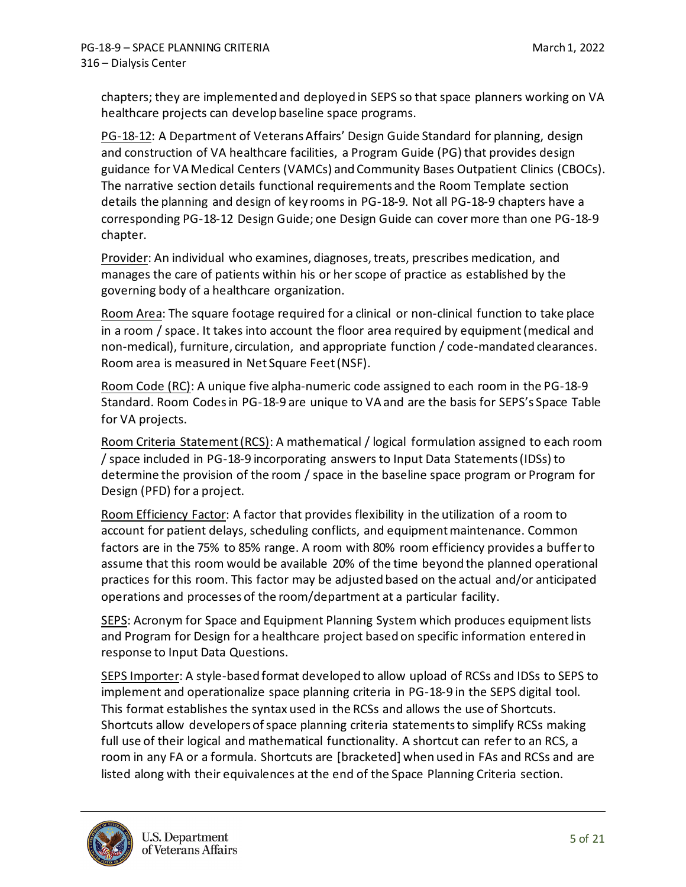chapters; they are implemented and deployed in SEPS so that space planners working on VA healthcare projects can develop baseline space programs.

PG-18-12: A Department of Veterans Affairs' Design Guide Standard for planning, design and construction of VA healthcare facilities, a Program Guide (PG) that provides design guidance for VA Medical Centers (VAMCs) and Community Bases Outpatient Clinics (CBOCs). The narrative section details functional requirements and the Room Template section details the planning and design of key rooms in PG-18-9. Not all PG-18-9 chapters have a corresponding PG-18-12 Design Guide; one Design Guide can cover more than one PG-18-9 chapter.

Provider: An individual who examines, diagnoses, treats, prescribes medication, and manages the care of patients within his or her scope of practice as established by the governing body of a healthcare organization.

Room Area: The square footage required for a clinical or non-clinical function to take place in a room / space. It takes into account the floor area required by equipment (medical and non-medical), furniture, circulation, and appropriate function / code-mandated clearances. Room area is measured in Net Square Feet (NSF).

Room Code (RC): A unique five alpha-numeric code assigned to each room in the PG-18-9 Standard. Room Codes in PG-18-9 are unique to VA and are the basis for SEPS's Space Table for VA projects.

Room Criteria Statement (RCS): A mathematical / logical formulation assigned to each room / space included in PG-18-9 incorporating answers to Input Data Statements (IDSs) to determine the provision of the room / space in the baseline space program or Program for Design (PFD) for a project.

Room Efficiency Factor: A factor that provides flexibility in the utilization of a room to account for patient delays, scheduling conflicts, and equipment maintenance. Common factors are in the 75% to 85% range. A room with 80% room efficiency provides a buffer to assume that this room would be available 20% of the time beyond the planned operational practices for this room. This factor may be adjusted based on the actual and/or anticipated operations and processes of the room/department at a particular facility.

SEPS: Acronym for Space and Equipment Planning System which produces equipment lists and Program for Design for a healthcare project based on specific information entered in response to Input Data Questions.

SEPS Importer: A style-based format developed to allow upload of RCSs and IDSs to SEPS to implement and operationalize space planning criteria in PG-18-9 in the SEPS digital tool. This format establishes the syntax used in the RCSs and allows the use of Shortcuts. Shortcuts allow developers of space planning criteria statements to simplify RCSs making full use of their logical and mathematical functionality. A shortcut can refer to an RCS, a room in any FA or a formula. Shortcuts are [bracketed] when used in FAs and RCSs and are listed along with their equivalences at the end of the Space Planning Criteria section.

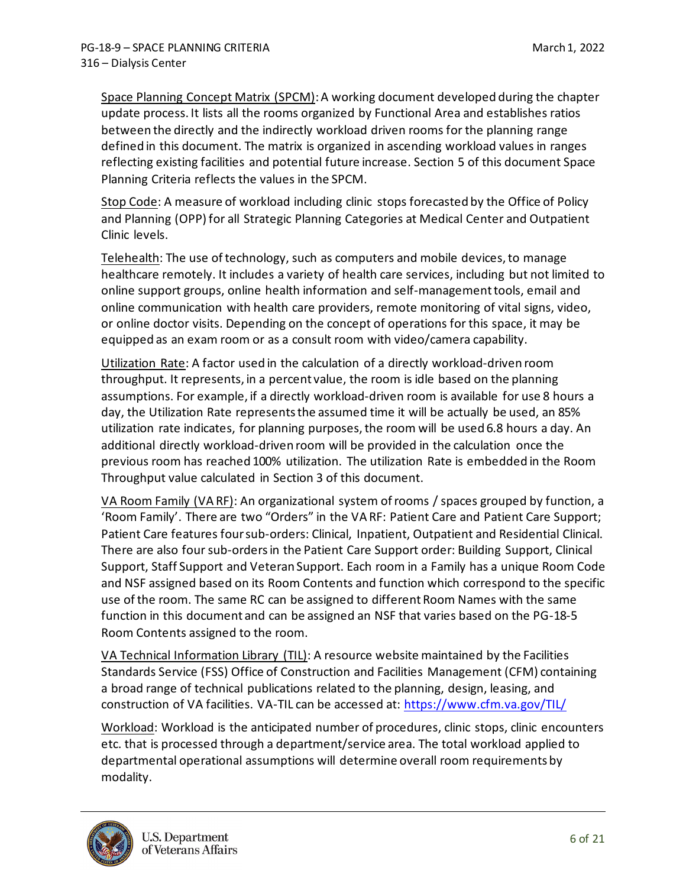Space Planning Concept Matrix (SPCM): A working document developed during the chapter update process. It lists all the rooms organized by Functional Area and establishes ratios between the directly and the indirectly workload driven rooms for the planning range defined in this document. The matrix is organized in ascending workload values in ranges reflecting existing facilities and potential future increase. Section 5 of this document Space Planning Criteria reflects the values in the SPCM.

Stop Code: A measure of workload including clinic stops forecasted by the Office of Policy and Planning (OPP) for all Strategic Planning Categories at Medical Center and Outpatient Clinic levels.

Telehealth: The use of technology, such as computers and mobile devices, to manage healthcare remotely. It includes a variety of health care services, including but not limited to online support groups, online health information and self-management tools, email and online communication with health care providers, remote monitoring of vital signs, video, or online doctor visits. Depending on the concept of operations for this space, it may be equipped as an exam room or as a consult room with video/camera capability.

Utilization Rate: A factor used in the calculation of a directly workload-driven room throughput. It represents, in a percent value, the room is idle based on the planning assumptions. For example, if a directly workload-driven room is available for use 8 hours a day, the Utilization Rate represents the assumed time it will be actually be used, an 85% utilization rate indicates, for planning purposes, the room will be used 6.8 hours a day. An additional directly workload-driven room will be provided in the calculation once the previous room has reached 100% utilization. The utilization Rate is embedded in the Room Throughput value calculated in Section 3 of this document.

VA Room Family (VA RF): An organizational system of rooms / spaces grouped by function, a 'Room Family'. There are two "Orders" in the VA RF: Patient Care and Patient Care Support; Patient Care features four sub-orders: Clinical, Inpatient, Outpatient and Residential Clinical. There are also four sub-orders in the Patient Care Support order: Building Support, Clinical Support, Staff Support and Veteran Support. Each room in a Family has a unique Room Code and NSF assigned based on its Room Contents and function which correspond to the specific use of the room. The same RC can be assigned to different Room Names with the same function in this document and can be assigned an NSF that varies based on the PG-18-5 Room Contents assigned to the room.

VA Technical Information Library (TIL): A resource website maintained by the Facilities Standards Service (FSS) Office of Construction and Facilities Management (CFM) containing a broad range of technical publications related to the planning, design, leasing, and construction of VA facilities. VA-TIL can be accessed at:<https://www.cfm.va.gov/TIL/>

Workload: Workload is the anticipated number of procedures, clinic stops, clinic encounters etc. that is processed through a department/service area. The total workload applied to departmental operational assumptions will determine overall room requirements by modality.

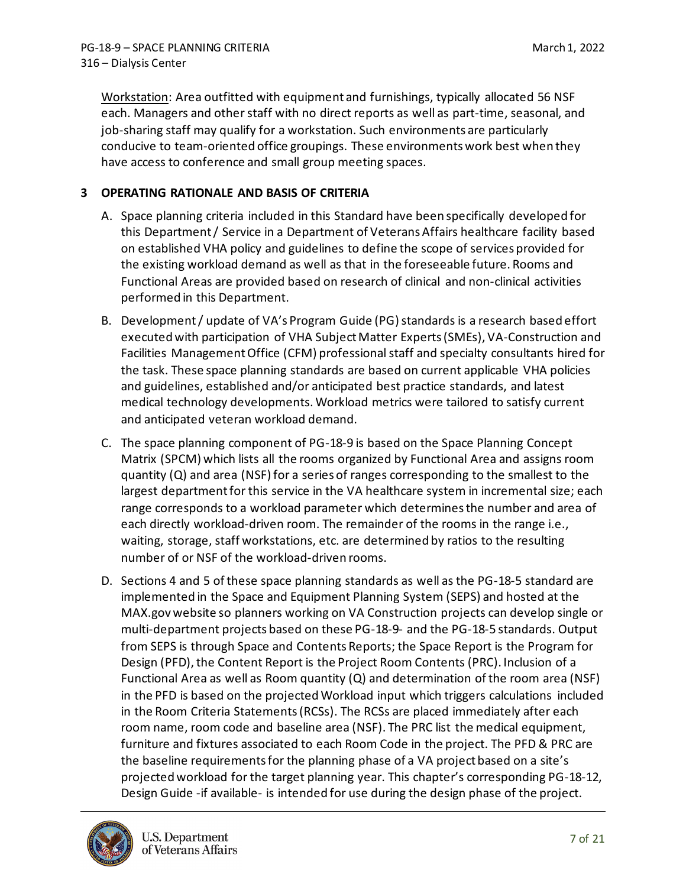Workstation: Area outfitted with equipment and furnishings, typically allocated 56 NSF each. Managers and other staff with no direct reports as well as part-time, seasonal, and job-sharing staff may qualify for a workstation. Such environments are particularly conducive to team-oriented office groupings. These environments work best when they have access to conference and small group meeting spaces.

## <span id="page-6-0"></span>**3 OPERATING RATIONALE AND BASIS OF CRITERIA**

- A. Space planning criteria included in this Standard have been specifically developed for this Department / Service in a Department of Veterans Affairs healthcare facility based on established VHA policy and guidelines to define the scope of services provided for the existing workload demand as well as that in the foreseeable future. Rooms and Functional Areas are provided based on research of clinical and non-clinical activities performed in this Department.
- B. Development / update of VA's Program Guide (PG) standards is a research based effort executed with participation of VHA Subject Matter Experts (SMEs), VA-Construction and Facilities Management Office (CFM) professional staff and specialty consultants hired for the task. These space planning standards are based on current applicable VHA policies and guidelines, established and/or anticipated best practice standards, and latest medical technology developments. Workload metrics were tailored to satisfy current and anticipated veteran workload demand.
- C. The space planning component of PG-18-9 is based on the Space Planning Concept Matrix (SPCM) which lists all the rooms organized by Functional Area and assigns room quantity (Q) and area (NSF) for a series of ranges corresponding to the smallest to the largest department for this service in the VA healthcare system in incremental size; each range corresponds to a workload parameter which determines the number and area of each directly workload-driven room. The remainder of the rooms in the range i.e., waiting, storage, staff workstations, etc. are determined by ratios to the resulting number of or NSF of the workload-driven rooms.
- D. Sections 4 and 5 of these space planning standards as well as the PG-18-5 standard are implemented in the Space and Equipment Planning System (SEPS) and hosted at the MAX.gov website so planners working on VA Construction projects can develop single or multi-department projects based on these PG-18-9- and the PG-18-5 standards. Output from SEPS is through Space and Contents Reports; the Space Report is the Program for Design (PFD), the Content Report is the Project Room Contents (PRC). Inclusion of a Functional Area as well as Room quantity  $(Q)$  and determination of the room area (NSF) in the PFD is based on the projected Workload input which triggers calculations included in the Room Criteria Statements (RCSs). The RCSs are placed immediately after each room name, room code and baseline area (NSF). The PRC list the medical equipment, furniture and fixtures associated to each Room Code in the project. The PFD & PRC are the baseline requirements for the planning phase of a VA project based on a site's projected workload for the target planning year. This chapter's corresponding PG-18-12, Design Guide -if available- is intended for use during the design phase of the project.

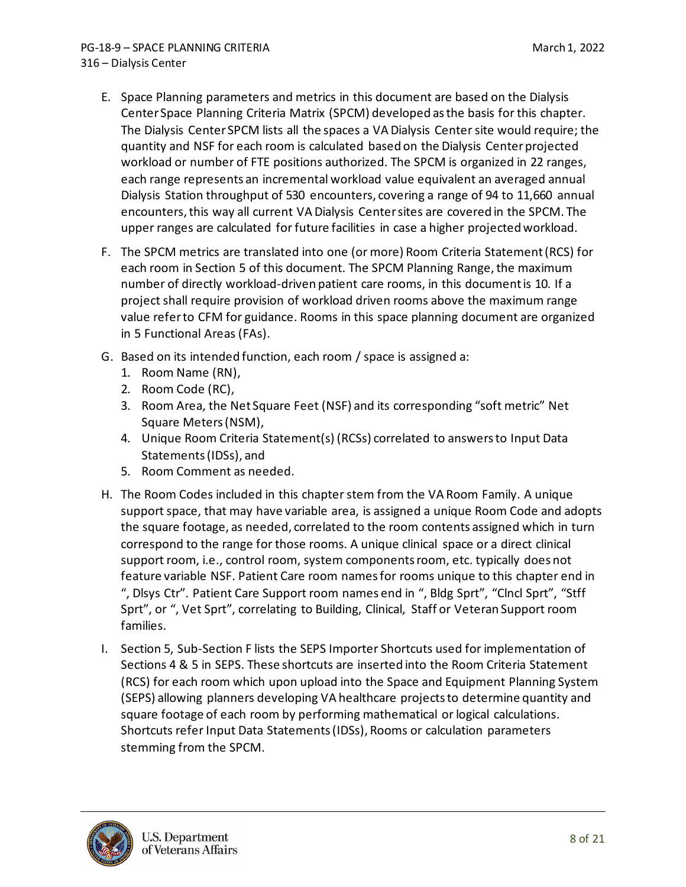- E. Space Planning parameters and metrics in this document are based on the Dialysis Center Space Planning Criteria Matrix (SPCM) developed asthe basis for this chapter. The Dialysis Center SPCM lists all the spaces a VA Dialysis Centersite would require; the quantity and NSF for each room is calculated based on the Dialysis Centerprojected workload or number of FTE positions authorized. The SPCM is organized in 22 ranges, each range represents an incremental workload value equivalent an averaged annual Dialysis Station throughput of 530 encounters, covering a range of 94 to 11,660 annual encounters, this way all current VA Dialysis Centersites are covered in the SPCM. The upper ranges are calculated for future facilities in case a higher projected workload.
- F. The SPCM metrics are translated into one (or more) Room Criteria Statement (RCS) for each room in Section 5 of this document. The SPCM Planning Range, the maximum number of directly workload-driven patient care rooms, in this document is 10. If a project shall require provision of workload driven rooms above the maximum range value refer to CFM for guidance. Rooms in this space planning document are organized in 5 Functional Areas (FAs).
- G. Based on its intended function, each room / space is assigned a:
	- 1. Room Name (RN),
	- 2. Room Code (RC),
	- 3. Room Area, the Net Square Feet (NSF) and its corresponding "soft metric" Net Square Meters (NSM),
	- 4. Unique Room Criteria Statement(s) (RCSs) correlated to answers to Input Data Statements (IDSs), and
	- 5. Room Comment as needed.
- H. The Room Codes included in this chapter stem from the VA Room Family. A unique support space, that may have variable area, is assigned a unique Room Code and adopts the square footage, as needed, correlated to the room contents assigned which in turn correspond to the range for those rooms. A unique clinical space or a direct clinical support room, i.e., control room, system components room, etc. typically does not feature variable NSF. Patient Care room names for rooms unique to this chapter end in ", Dlsys Ctr". Patient Care Support room names end in ", Bldg Sprt", "Clncl Sprt", "Stff Sprt", or ", Vet Sprt", correlating to Building, Clinical, Staff or Veteran Support room families.
- I. Section 5, Sub-Section F lists the SEPS Importer Shortcuts used for implementation of Sections 4 & 5 in SEPS. These shortcuts are inserted into the Room Criteria Statement (RCS) for each room which upon upload into the Space and Equipment Planning System (SEPS) allowing planners developing VA healthcare projects to determine quantity and square footage of each room by performing mathematical or logical calculations. Shortcuts refer Input Data Statements (IDSs), Rooms or calculation parameters stemming from the SPCM.

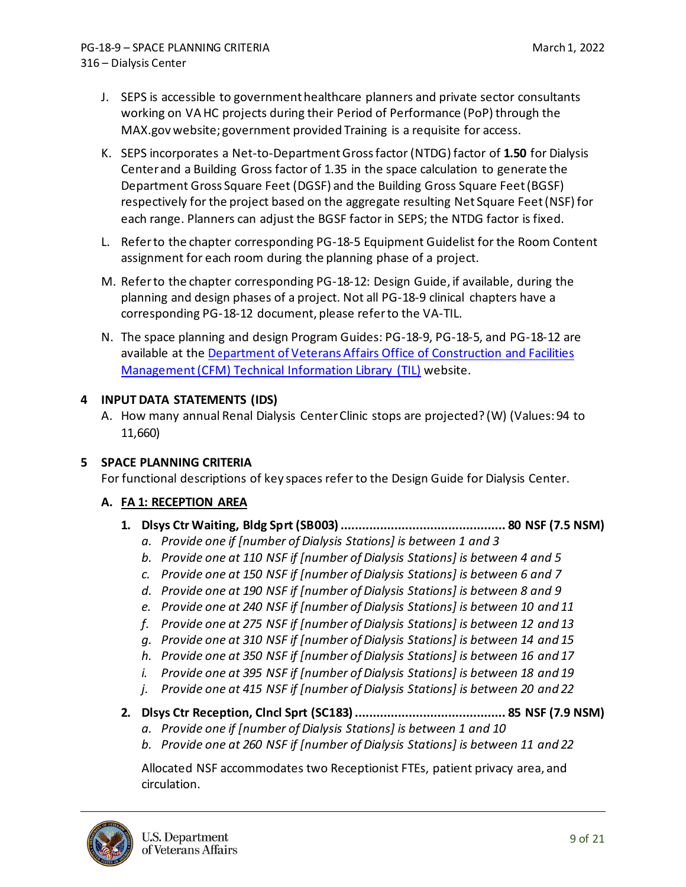- J. SEPS is accessible to government healthcare planners and private sector consultants working on VA HC projects during their Period of Performance (PoP) through the MAX.gov website; government provided Training is a requisite for access.
- K. SEPS incorporates a Net-to-Department Gross factor (NTDG) factor of **1.50** for Dialysis Centerand a Building Gross factor of 1.35 in the space calculation to generate the Department Gross Square Feet (DGSF) and the Building Gross Square Feet (BGSF) respectively for the project based on the aggregate resulting Net Square Feet (NSF) for each range. Planners can adjust the BGSF factor in SEPS; the NTDG factor is fixed.
- L. Refer to the chapter corresponding PG-18-5 Equipment Guidelist for the Room Content assignment for each room during the planning phase of a project.
- M. Refer to the chapter corresponding PG-18-12: Design Guide, if available, during the planning and design phases of a project. Not all PG-18-9 clinical chapters have a corresponding PG-18-12 document, please refer to the VA-TIL.
- N. The space planning and design Program Guides: PG-18-9, PG-18-5, and PG-18-12 are available at the [Department of Veterans Affairs Office of Construction and Facilities](https://www.cfm.va.gov/TIL/)  [Management \(CFM\) Technical Information Library \(TIL\)](https://www.cfm.va.gov/TIL/) website.

## <span id="page-8-0"></span>**4 INPUT DATA STATEMENTS (IDS)**

A. How many annual Renal Dialysis Center Clinic stops are projected? (W) (Values: 94 to 11,660)

### <span id="page-8-1"></span>**5 SPACE PLANNING CRITERIA**

For functional descriptions of key spaces refer to the Design Guide for Dialysis Center.

### **A. FA 1: RECEPTION AREA**

- **1. Dlsys Ctr Waiting, Bldg Sprt (SB003).............................................. 80 NSF (7.5 NSM)**
	- *a. Provide one if [number of Dialysis Stations] is between 1 and 3*
	- *b. Provide one at 110 NSF if [number of Dialysis Stations] is between 4 and 5*
	- *c. Provide one at 150 NSF if [number of Dialysis Stations] is between 6 and 7*
	- *d. Provide one at 190 NSF if [number of Dialysis Stations] is between 8 and 9*
	- *e. Provide one at 240 NSF if [number of Dialysis Stations] is between 10 and 11*
	- *f. Provide one at 275 NSF if [number of Dialysis Stations] is between 12 and 13*
	- *g. Provide one at 310 NSF if [number of Dialysis Stations] is between 14 and 15*
	- *h. Provide one at 350 NSF if [number of Dialysis Stations] is between 16 and 17*
	- *i. Provide one at 395 NSF if [number of Dialysis Stations] is between 18 and 19*
	- *j. Provide one at 415 NSF if [number of Dialysis Stations] is between 20 and 22*
- **2. Dlsys Ctr Reception, Clncl Sprt (SC183).......................................... 85 NSF (7.9 NSM)**
	- *a. Provide one if [number of Dialysis Stations] is between 1 and 10*
	- *b. Provide one at 260 NSF if [number of Dialysis Stations] is between 11 and 22*

Allocated NSF accommodates two Receptionist FTEs, patient privacy area, and circulation.

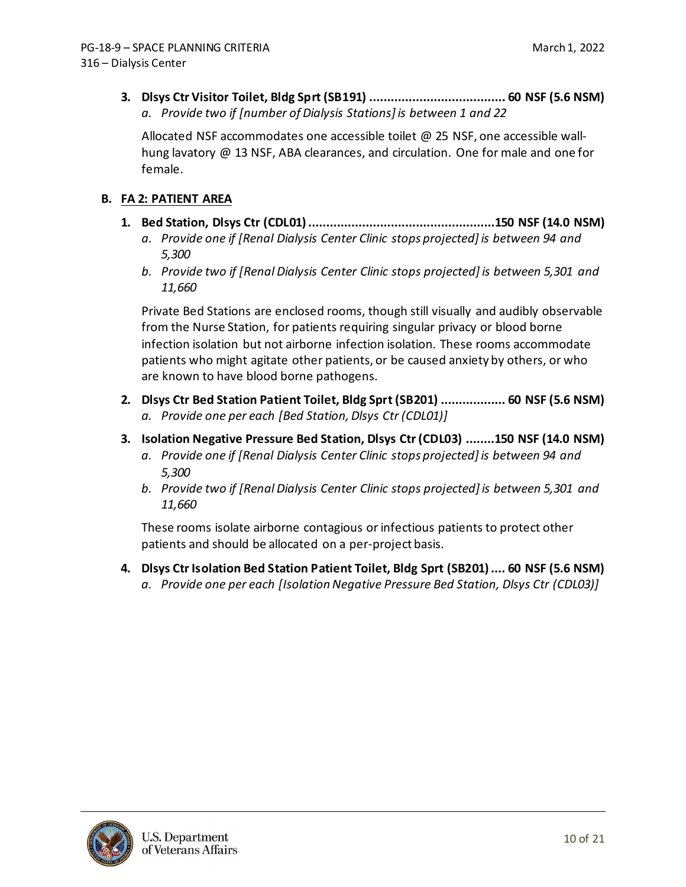**3. Dlsys Ctr Visitor Toilet, Bldg Sprt (SB191) ...................................... 60 NSF (5.6 NSM)** *a. Provide two if [number of Dialysis Stations] is between 1 and 22*

Allocated NSF accommodates one accessible toilet @ 25 NSF, one accessible wallhung lavatory @ 13 NSF, ABA clearances, and circulation. One for male and one for female.

### **B. FA 2: PATIENT AREA**

- **1. Bed Station, Dlsys Ctr (CDL01)....................................................150 NSF (14.0 NSM)** *a. Provide one if [Renal Dialysis Center Clinic stops projected] is between 94 and 5,300*
	- *b. Provide two if [Renal Dialysis Center Clinic stops projected] is between 5,301 and 11,660*

Private Bed Stations are enclosed rooms, though still visually and audibly observable from the Nurse Station, for patients requiring singular privacy or blood borne infection isolation but not airborne infection isolation. These rooms accommodate patients who might agitate other patients, or be caused anxiety by others, or who are known to have blood borne pathogens.

- **2. Dlsys Ctr Bed Station Patient Toilet, Bldg Sprt (SB201) .................. 60 NSF (5.6 NSM)** *a. Provide one per each [Bed Station, Dlsys Ctr (CDL01)]*
- **3. Isolation Negative Pressure Bed Station, Dlsys Ctr (CDL03) ........150 NSF (14.0 NSM)**
	- *a. Provide one if [Renal Dialysis Center Clinic stops projected] is between 94 and 5,300*
	- *b. Provide two if [Renal Dialysis Center Clinic stops projected] is between 5,301 and 11,660*

These rooms isolate airborne contagious or infectious patients to protect other patients and should be allocated on a per-project basis.

**4. Dlsys Ctr Isolation Bed Station Patient Toilet, Bldg Sprt (SB201).... 60 NSF (5.6 NSM)** *a. Provide one per each [Isolation Negative Pressure Bed Station, Dlsys Ctr (CDL03)]*

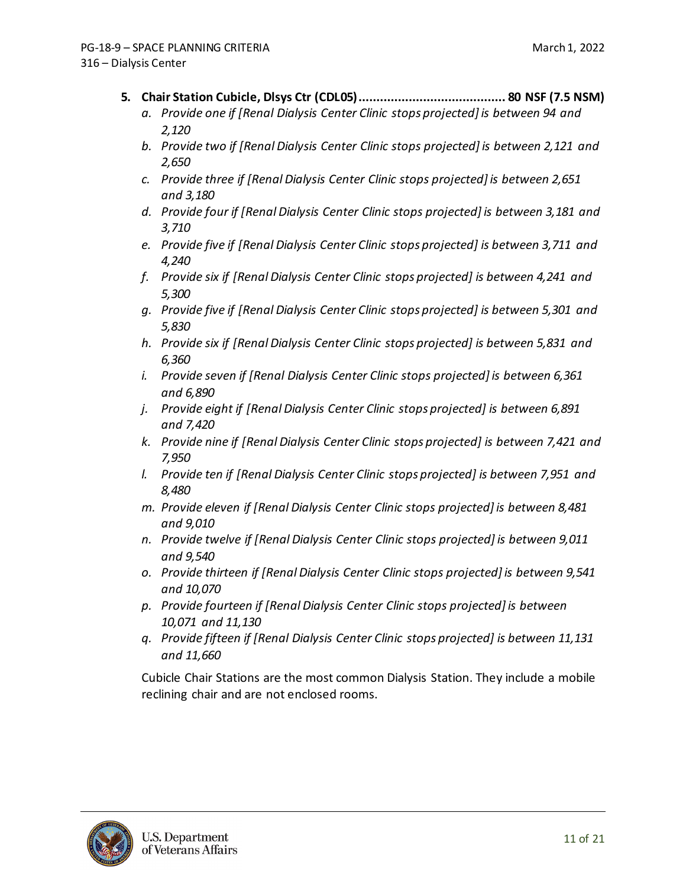- **5. Chair Station Cubicle, Dlsys Ctr (CDL05)......................................... 80 NSF (7.5 NSM)**
	- *a. Provide one if [Renal Dialysis Center Clinic stops projected] is between 94 and 2,120*
	- *b. Provide two if [Renal Dialysis Center Clinic stops projected] is between 2,121 and 2,650*
	- *c. Provide three if [Renal Dialysis Center Clinic stops projected] is between 2,651 and 3,180*
	- *d. Provide four if [Renal Dialysis Center Clinic stops projected] is between 3,181 and 3,710*
	- *e. Provide five if [Renal Dialysis Center Clinic stops projected] is between 3,711 and 4,240*
	- *f. Provide six if [Renal Dialysis Center Clinic stops projected] is between 4,241 and 5,300*
	- *g. Provide five if [Renal Dialysis Center Clinic stops projected] is between 5,301 and 5,830*
	- *h. Provide six if [Renal Dialysis Center Clinic stops projected] is between 5,831 and 6,360*
	- *i. Provide seven if [Renal Dialysis Center Clinic stops projected] is between 6,361 and 6,890*
	- *j. Provide eight if [Renal Dialysis Center Clinic stops projected] is between 6,891 and 7,420*
	- *k. Provide nine if [Renal Dialysis Center Clinic stops projected] is between 7,421 and 7,950*
	- *l. Provide ten if [Renal Dialysis Center Clinic stops projected] is between 7,951 and 8,480*
	- *m. Provide eleven if [Renal Dialysis Center Clinic stops projected] is between 8,481 and 9,010*
	- *n. Provide twelve if [Renal Dialysis Center Clinic stops projected] is between 9,011 and 9,540*
	- *o. Provide thirteen if [Renal Dialysis Center Clinic stops projected] is between 9,541 and 10,070*
	- *p. Provide fourteen if [Renal Dialysis Center Clinic stops projected] is between 10,071 and 11,130*
	- *q. Provide fifteen if [Renal Dialysis Center Clinic stops projected] is between 11,131 and 11,660*

Cubicle Chair Stations are the most common Dialysis Station. They include a mobile reclining chair and are not enclosed rooms.

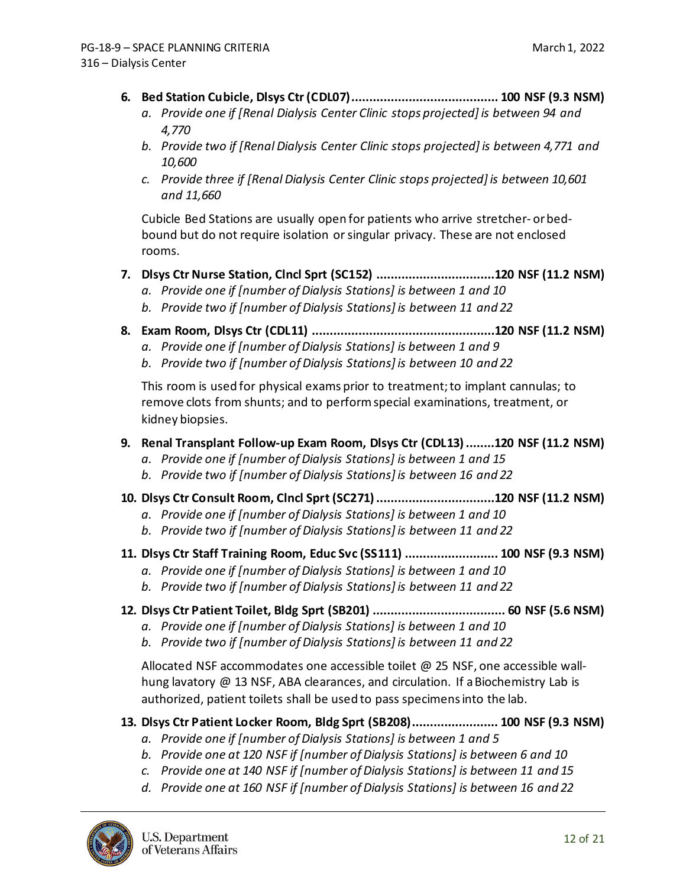- **6. Bed Station Cubicle, Dlsys Ctr (CDL07)......................................... 100 NSF (9.3 NSM)**
	- *a. Provide one if [Renal Dialysis Center Clinic stops projected] is between 94 and 4,770*
	- *b. Provide two if [Renal Dialysis Center Clinic stops projected] is between 4,771 and 10,600*
	- *c. Provide three if [Renal Dialysis Center Clinic stops projected] is between 10,601 and 11,660*

Cubicle Bed Stations are usually open for patients who arrive stretcher- orbedbound but do not require isolation or singular privacy. These are not enclosed rooms.

- **7. Dlsys Ctr Nurse Station, Clncl Sprt (SC152) .................................120 NSF (11.2 NSM)**
	- *a. Provide one if [number of Dialysis Stations] is between 1 and 10*
	- *b. Provide two if [number of Dialysis Stations] is between 11 and 22*
- **8. Exam Room, Dlsys Ctr (CDL11) ...................................................120 NSF (11.2 NSM)**
	- *a. Provide one if [number of Dialysis Stations] is between 1 and 9*
	- *b. Provide two if [number of Dialysis Stations] is between 10 and 22*

This room is used for physical exams prior to treatment; to implant cannulas; to remove clots from shunts; and to perform special examinations, treatment, or kidney biopsies.

## **9. Renal Transplant Follow-up Exam Room, Dlsys Ctr (CDL13)........120 NSF (11.2 NSM)**

- *a. Provide one if [number of Dialysis Stations] is between 1 and 15*
- *b. Provide two if [number of Dialysis Stations] is between 16 and 22*
- **10. Dlsys Ctr Consult Room, Clncl Sprt (SC271).................................120 NSF (11.2 NSM)**
	- *a. Provide one if [number of Dialysis Stations] is between 1 and 10*
	- *b. Provide two if [number of Dialysis Stations] is between 11 and 22*
- **11. Dlsys Ctr Staff Training Room, Educ Svc (SS111) .......................... 100 NSF (9.3 NSM)**
	- *a. Provide one if [number of Dialysis Stations] is between 1 and 10*
	- *b. Provide two if [number of Dialysis Stations] is between 11 and 22*
- **12. Dlsys Ctr Patient Toilet, Bldg Sprt (SB201) ..................................... 60 NSF (5.6 NSM)**
	- *a. Provide one if [number of Dialysis Stations] is between 1 and 10*
	- *b. Provide two if [number of Dialysis Stations] is between 11 and 22*

Allocated NSF accommodates one accessible toilet @ 25 NSF, one accessible wallhung lavatory @ 13 NSF, ABA clearances, and circulation. If a Biochemistry Lab is authorized, patient toilets shall be used to pass specimens into the lab.

## **13. Dlsys Ctr Patient Locker Room, Bldg Sprt (SB208)........................ 100 NSF (9.3 NSM)**

- *a. Provide one if [number of Dialysis Stations] is between 1 and 5*
- *b. Provide one at 120 NSF if [number of Dialysis Stations] is between 6 and 10*
- *c. Provide one at 140 NSF if [number of Dialysis Stations] is between 11 and 15*
- *d. Provide one at 160 NSF if [number of Dialysis Stations] is between 16 and 22*

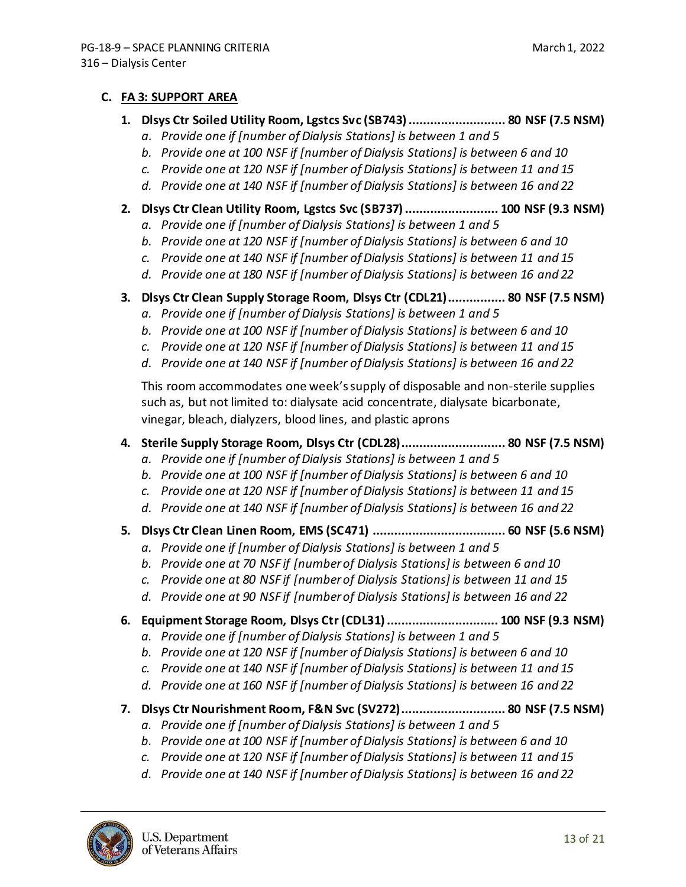#### **C. FA 3: SUPPORT AREA**

- **1. Dlsys Ctr Soiled Utility Room, Lgstcs Svc (SB743)........................... 80 NSF (7.5 NSM)**
	- *a. Provide one if [number of Dialysis Stations] is between 1 and 5*
	- *b. Provide one at 100 NSF if [number of Dialysis Stations] is between 6 and 10*
	- *c. Provide one at 120 NSF if [number of Dialysis Stations] is between 11 and 15*
	- *d. Provide one at 140 NSF if [number of Dialysis Stations] is between 16 and 22*
- **2. Dlsys Ctr Clean Utility Room, Lgstcs Svc (SB737).......................... 100 NSF (9.3 NSM)**
	- *a. Provide one if [number of Dialysis Stations] is between 1 and 5*
	- *b. Provide one at 120 NSF if [number of Dialysis Stations] is between 6 and 10*
	- *c. Provide one at 140 NSF if [number of Dialysis Stations] is between 11 and 15*
	- *d. Provide one at 180 NSF if [number of Dialysis Stations] is between 16 and 22*
- **3. Dlsys Ctr Clean Supply Storage Room, Dlsys Ctr (CDL21)................ 80 NSF (7.5 NSM)**
	- *a. Provide one if [number of Dialysis Stations] is between 1 and 5*
	- *b. Provide one at 100 NSF if [number of Dialysis Stations] is between 6 and 10*
	- *c. Provide one at 120 NSF if [number of Dialysis Stations] is between 11 and 15*
	- *d. Provide one at 140 NSF if [number of Dialysis Stations] is between 16 and 22*

This room accommodates one week's supply of disposable and non-sterile supplies such as, but not limited to: dialysate acid concentrate, dialysate bicarbonate, vinegar, bleach, dialyzers, blood lines, and plastic aprons

- **4. Sterile Supply Storage Room, Dlsys Ctr (CDL28)............................. 80 NSF (7.5 NSM)**
	- *a. Provide one if [number of Dialysis Stations] is between 1 and 5*
	- *b. Provide one at 100 NSF if [number of Dialysis Stations] is between 6 and 10*
	- *c. Provide one at 120 NSF if [number of Dialysis Stations] is between 11 and 15*
	- *d. Provide one at 140 NSF if [number of Dialysis Stations] is between 16 and 22*
- **5. Dlsys Ctr Clean Linen Room, EMS (SC471) ..................................... 60 NSF (5.6 NSM)**
	- *a. Provide one if [number of Dialysis Stations] is between 1 and 5*
	- *b. Provide one at 70 NSF if [number of Dialysis Stations] is between 6 and 10*
	- *c. Provide one at 80 NSF if [number of Dialysis Stations] is between 11 and 15*
	- *d. Provide one at 90 NSF if [number of Dialysis Stations] is between 16 and 22*
- **6. Equipment Storage Room, Dlsys Ctr (CDL31)............................... 100 NSF (9.3 NSM)**
	- *a. Provide one if [number of Dialysis Stations] is between 1 and 5*
	- *b. Provide one at 120 NSF if [number of Dialysis Stations] is between 6 and 10*
	- *c. Provide one at 140 NSF if [number of Dialysis Stations] is between 11 and 15*
	- *d. Provide one at 160 NSF if [number of Dialysis Stations] is between 16 and 22*
- **7. Dlsys Ctr Nourishment Room, F&N Svc (SV272)............................. 80 NSF (7.5 NSM)**
	- *a. Provide one if [number of Dialysis Stations] is between 1 and 5*
	- *b. Provide one at 100 NSF if [number of Dialysis Stations] is between 6 and 10*
	- *c. Provide one at 120 NSF if [number of Dialysis Stations] is between 11 and 15*
	- *d. Provide one at 140 NSF if [number of Dialysis Stations] is between 16 and 22*

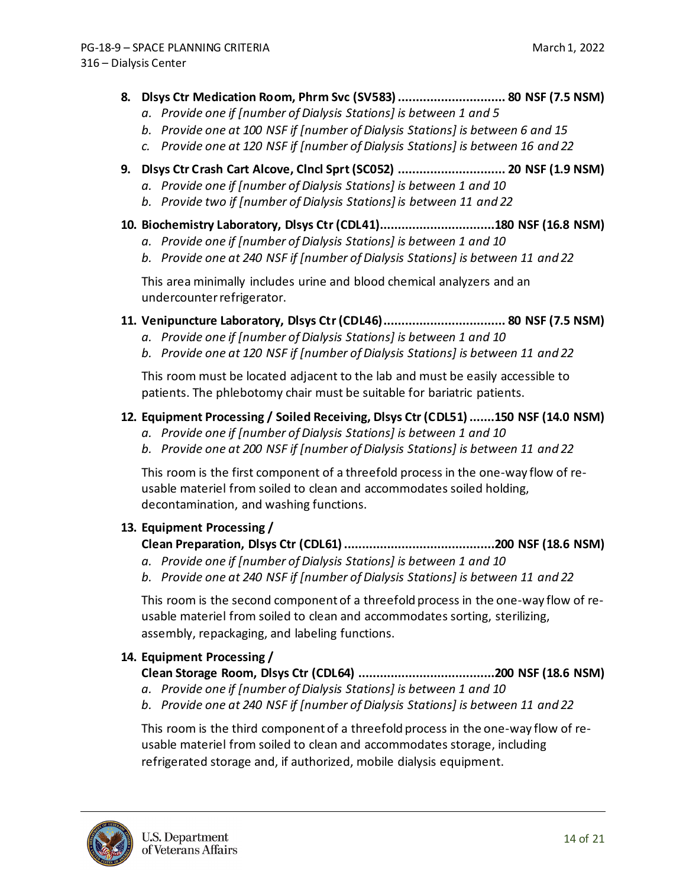- **8. Dlsys Ctr Medication Room, Phrm Svc (SV583).............................. 80 NSF (7.5 NSM)**
	- *a. Provide one if [number of Dialysis Stations] is between 1 and 5*
	- *b. Provide one at 100 NSF if [number of Dialysis Stations] is between 6 and 15*
	- *c. Provide one at 120 NSF if [number of Dialysis Stations] is between 16 and 22*
- **9. Dlsys Ctr Crash Cart Alcove, Clncl Sprt (SC052) .............................. 20 NSF (1.9 NSM)**
	- *a. Provide one if [number of Dialysis Stations] is between 1 and 10*
	- *b. Provide two if [number of Dialysis Stations] is between 11 and 22*
- **10. Biochemistry Laboratory, Dlsys Ctr (CDL41)................................180 NSF (16.8 NSM)**
	- *a. Provide one if [number of Dialysis Stations] is between 1 and 10*
	- *b. Provide one at 240 NSF if [number of Dialysis Stations] is between 11 and 22*

This area minimally includes urine and blood chemical analyzers and an undercounter refrigerator.

- **11. Venipuncture Laboratory, Dlsys Ctr (CDL46).................................. 80 NSF (7.5 NSM)**
	- *a. Provide one if [number of Dialysis Stations] is between 1 and 10*
	- *b. Provide one at 120 NSF if [number of Dialysis Stations] is between 11 and 22*

This room must be located adjacent to the lab and must be easily accessible to patients. The phlebotomy chair must be suitable for bariatric patients.

### **12. Equipment Processing / Soiled Receiving, Dlsys Ctr (CDL51).......150 NSF (14.0 NSM)**

- *a. Provide one if [number of Dialysis Stations] is between 1 and 10*
- *b. Provide one at 200 NSF if [number of Dialysis Stations] is between 11 and 22*

This room is the first component of a threefold process in the one-way flow of reusable materiel from soiled to clean and accommodates soiled holding, decontamination, and washing functions.

#### **13. Equipment Processing /**

#### **Clean Preparation, Dlsys Ctr (CDL61)..........................................200 NSF (18.6 NSM)**

- *a. Provide one if [number of Dialysis Stations] is between 1 and 10*
- *b. Provide one at 240 NSF if [number of Dialysis Stations] is between 11 and 22*

This room is the second component of a threefold process in the one-way flow of reusable materiel from soiled to clean and accommodates sorting, sterilizing, assembly, repackaging, and labeling functions.

### **14. Equipment Processing /**

### **Clean Storage Room, Dlsys Ctr (CDL64) ......................................200 NSF (18.6 NSM)**

- *a. Provide one if [number of Dialysis Stations] is between 1 and 10*
- *b. Provide one at 240 NSF if [number of Dialysis Stations] is between 11 and 22*

This room is the third component of a threefold process in the one-way flow of reusable materiel from soiled to clean and accommodates storage, including refrigerated storage and, if authorized, mobile dialysis equipment.

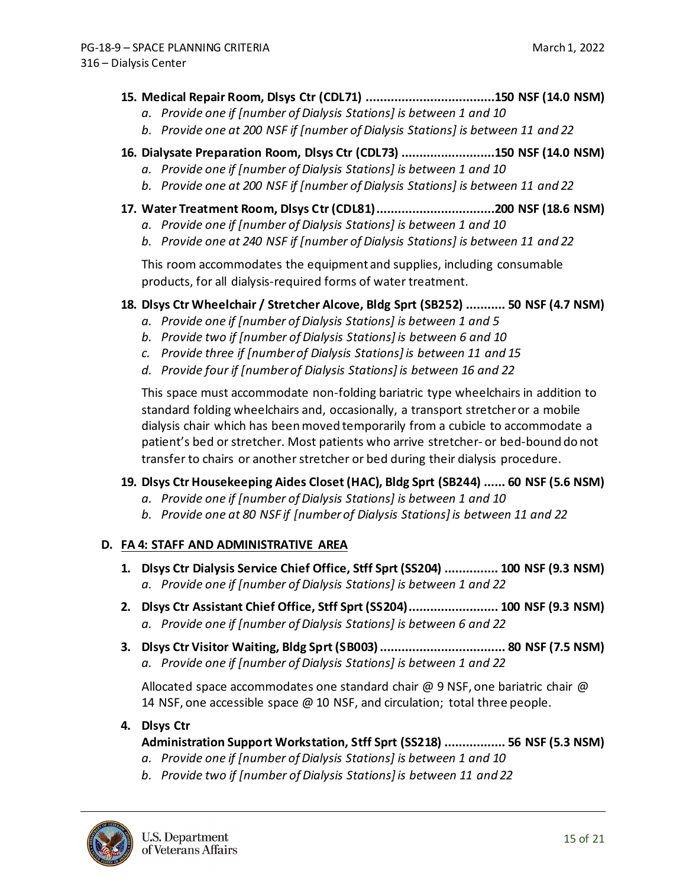- **15. Medical Repair Room, Dlsys Ctr (CDL71) ....................................150 NSF (14.0 NSM)**
	- *a. Provide one if [number of Dialysis Stations] is between 1 and 10*
	- *b. Provide one at 200 NSF if [number of Dialysis Stations] is between 11 and 22*
- **16. Dialysate Preparation Room, Dlsys Ctr (CDL73) ..........................150 NSF (14.0 NSM)**
	- *a. Provide one if [number of Dialysis Stations] is between 1 and 10*
	- *b. Provide one at 200 NSF if [number of Dialysis Stations] is between 11 and 22*
- **17. Water Treatment Room, Dlsys Ctr (CDL81).................................200 NSF (18.6 NSM)**
	- *a. Provide one if [number of Dialysis Stations] is between 1 and 10*
	- *b. Provide one at 240 NSF if [number of Dialysis Stations] is between 11 and 22*

This room accommodates the equipment and supplies, including consumable products, for all dialysis-required forms of water treatment.

### **18. Dlsys Ctr Wheelchair / Stretcher Alcove, Bldg Sprt (SB252) ........... 50 NSF (4.7 NSM)**

- *a. Provide one if [number of Dialysis Stations] is between 1 and 5*
- *b. Provide two if [number of Dialysis Stations] is between 6 and 10*
- *c. Provide three if [number of Dialysis Stations] is between 11 and 15*
- *d. Provide four if [number of Dialysis Stations] is between 16 and 22*

This space must accommodate non-folding bariatric type wheelchairs in addition to standard folding wheelchairs and, occasionally, a transport stretcher or a mobile dialysis chair which has been moved temporarily from a cubicle to accommodate a patient's bed or stretcher. Most patients who arrive stretcher- or bed-bound do not transfer to chairs or another stretcher or bed during their dialysis procedure.

#### **19. Dlsys Ctr Housekeeping Aides Closet (HAC), Bldg Sprt (SB244) ...... 60 NSF (5.6 NSM)**

- *a. Provide one if [number of Dialysis Stations] is between 1 and 10*
- *b. Provide one at 80 NSF if [number of Dialysis Stations] is between 11 and 22*

### **D. FA 4: STAFF AND ADMINISTRATIVE AREA**

- **1. Dlsys Ctr Dialysis Service Chief Office, Stff Sprt (SS204) ............... 100 NSF (9.3 NSM)** *a. Provide one if [number of Dialysis Stations] is between 1 and 22*
- **2. Dlsys Ctr Assistant Chief Office, Stff Sprt (SS204)......................... 100 NSF (9.3 NSM)** *a. Provide one if [number of Dialysis Stations] is between 6 and 22*
- **3. Dlsys Ctr Visitor Waiting, Bldg Sprt (SB003)................................... 80 NSF (7.5 NSM)** *a. Provide one if [number of Dialysis Stations] is between 1 and 22*

Allocated space accommodates one standard chair @ 9 NSF, one bariatric chair @ 14 NSF, one accessible space @ 10 NSF, and circulation; total three people.

#### **4. Dlsys Ctr**

### **Administration Support Workstation, Stff Sprt (SS218) ................. 56 NSF (5.3 NSM)**

- *a. Provide one if [number of Dialysis Stations] is between 1 and 10*
- *b. Provide two if [number of Dialysis Stations] is between 11 and 22*

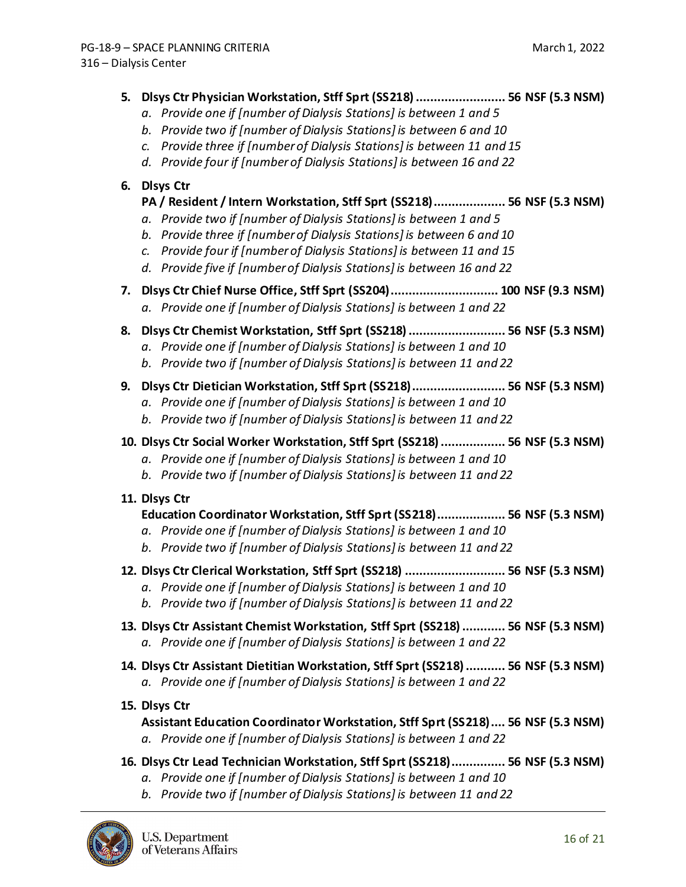#### **5. Dlsys Ctr Physician Workstation, Stff Sprt (SS218)......................... 56 NSF (5.3 NSM)**

- *a. Provide one if [number of Dialysis Stations] is between 1 and 5*
- *b. Provide two if [number of Dialysis Stations] is between 6 and 10*
- *c. Provide three if [number of Dialysis Stations] is between 11 and 15*
- *d. Provide four if [number of Dialysis Stations] is between 16 and 22*

### **6. Dlsys Ctr**

### **PA / Resident / Intern Workstation, Stff Sprt (SS218).................... 56 NSF (5.3 NSM)**

- *a. Provide two if [number of Dialysis Stations] is between 1 and 5*
- *b. Provide three if [number of Dialysis Stations] is between 6 and 10*
- *c. Provide four if [number of Dialysis Stations] is between 11 and 15*
- *d. Provide five if [number of Dialysis Stations] is between 16 and 22*
- **7. Dlsys Ctr Chief Nurse Office, Stff Sprt (SS204).............................. 100 NSF (9.3 NSM)** *a. Provide one if [number of Dialysis Stations] is between 1 and 22*
- **8. Dlsys Ctr Chemist Workstation, Stff Sprt (SS218)........................... 56 NSF (5.3 NSM)**
	- *a. Provide one if [number of Dialysis Stations] is between 1 and 10*
	- *b. Provide two if [number of Dialysis Stations] is between 11 and 22*

## **9. Dlsys Ctr Dietician Workstation, Stff Sprt (SS218).......................... 56 NSF (5.3 NSM)**

- *a. Provide one if [number of Dialysis Stations] is between 1 and 10*
- *b. Provide two if [number of Dialysis Stations] is between 11 and 22*
- **10. Dlsys Ctr Social Worker Workstation, Stff Sprt (SS218).................. 56 NSF (5.3 NSM)**
	- *a. Provide one if [number of Dialysis Stations] is between 1 and 10*
	- *b. Provide two if [number of Dialysis Stations] is between 11 and 22*
- **11. Dlsys Ctr**

### **Education Coordinator Workstation, Stff Sprt (SS218)................... 56 NSF (5.3 NSM)**

- *a. Provide one if [number of Dialysis Stations] is between 1 and 10*
- *b. Provide two if [number of Dialysis Stations] is between 11 and 22*
- **12. Dlsys Ctr Clerical Workstation, Stff Sprt (SS218) ............................ 56 NSF (5.3 NSM)**
	- *a. Provide one if [number of Dialysis Stations] is between 1 and 10*
	- *b. Provide two if [number of Dialysis Stations] is between 11 and 22*
- **13. Dlsys Ctr Assistant Chemist Workstation, Stff Sprt (SS218)............ 56 NSF (5.3 NSM)** *a. Provide one if [number of Dialysis Stations] is between 1 and 22*
- **14. Dlsys Ctr Assistant Dietitian Workstation, Stff Sprt (SS218)........... 56 NSF (5.3 NSM)** *a. Provide one if [number of Dialysis Stations] is between 1 and 22*
- **15. Dlsys Ctr**

**Assistant Education Coordinator Workstation, Stff Sprt (SS218).... 56 NSF (5.3 NSM)** *a. Provide one if [number of Dialysis Stations] is between 1 and 22*

- **16. Dlsys Ctr Lead Technician Workstation, Stff Sprt (SS218)............... 56 NSF (5.3 NSM)**
	- *a. Provide one if [number of Dialysis Stations] is between 1 and 10*
	- *b. Provide two if [number of Dialysis Stations] is between 11 and 22*

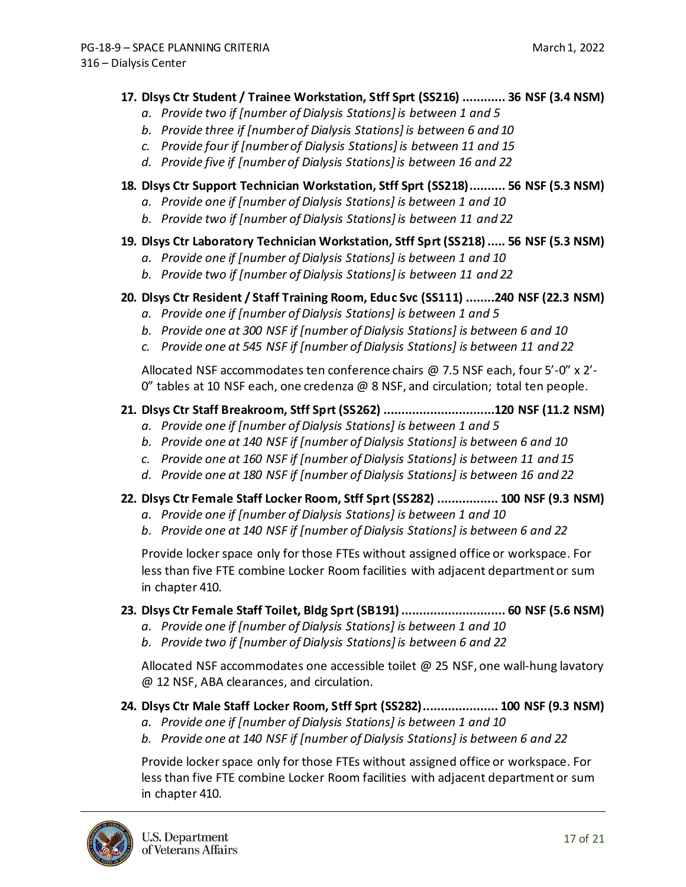#### **17. Dlsys Ctr Student / Trainee Workstation, Stff Sprt (SS216) ............ 36 NSF (3.4 NSM)**

- *a. Provide two if [number of Dialysis Stations] is between 1 and 5*
- *b. Provide three if [number of Dialysis Stations] is between 6 and 10*
- *c. Provide four if [number of Dialysis Stations] is between 11 and 15*
- *d. Provide five if [number of Dialysis Stations] is between 16 and 22*

### **18. Dlsys Ctr Support Technician Workstation, Stff Sprt (SS218).......... 56 NSF (5.3 NSM)**

- *a. Provide one if [number of Dialysis Stations] is between 1 and 10*
- *b. Provide two if [number of Dialysis Stations] is between 11 and 22*

### **19. Dlsys Ctr Laboratory Technician Workstation, Stff Sprt (SS218)..... 56 NSF (5.3 NSM)**

- *a. Provide one if [number of Dialysis Stations] is between 1 and 10*
- *b. Provide two if [number of Dialysis Stations] is between 11 and 22*

### **20. Dlsys Ctr Resident / Staff Training Room, Educ Svc (SS111) ........240 NSF (22.3 NSM)**

- *a. Provide one if [number of Dialysis Stations] is between 1 and 5*
- *b. Provide one at 300 NSF if [number of Dialysis Stations] is between 6 and 10*
- *c. Provide one at 545 NSF if [number of Dialysis Stations] is between 11 and 22*

Allocated NSF accommodates ten conference chairs @ 7.5 NSF each, four 5'-0" x 2'-  $0''$  tables at 10 NSF each, one credenza  $\omega$  8 NSF, and circulation; total ten people.

#### **21. Dlsys Ctr Staff Breakroom, Stff Sprt (SS262) ...............................120 NSF (11.2 NSM)**

- *a. Provide one if [number of Dialysis Stations] is between 1 and 5*
- *b. Provide one at 140 NSF if [number of Dialysis Stations] is between 6 and 10*
- *c. Provide one at 160 NSF if [number of Dialysis Stations] is between 11 and 15*
- *d. Provide one at 180 NSF if [number of Dialysis Stations] is between 16 and 22*

#### **22. Dlsys Ctr Female Staff Locker Room, Stff Sprt (SS282) ................. 100 NSF (9.3 NSM)**

- *a. Provide one if [number of Dialysis Stations] is between 1 and 10*
- *b. Provide one at 140 NSF if [number of Dialysis Stations] is between 6 and 22*

Provide locker space only for those FTEs without assigned office or workspace. For less than five FTE combine Locker Room facilities with adjacent department or sum in chapter 410.

#### **23. Dlsys Ctr Female Staff Toilet, Bldg Sprt (SB191)............................. 60 NSF (5.6 NSM)**

- *a. Provide one if [number of Dialysis Stations] is between 1 and 10*
- *b. Provide two if [number of Dialysis Stations] is between 6 and 22*

Allocated NSF accommodates one accessible toilet  $@$  25 NSF, one wall-hung lavatory @ 12 NSF, ABA clearances, and circulation.

- **24. Dlsys Ctr Male Staff Locker Room, Stff Sprt (SS282)..................... 100 NSF (9.3 NSM)**
	- *a. Provide one if [number of Dialysis Stations] is between 1 and 10*
	- *b. Provide one at 140 NSF if [number of Dialysis Stations] is between 6 and 22*

Provide locker space only for those FTEs without assigned office or workspace. For less than five FTE combine Locker Room facilities with adjacent department or sum in chapter 410.

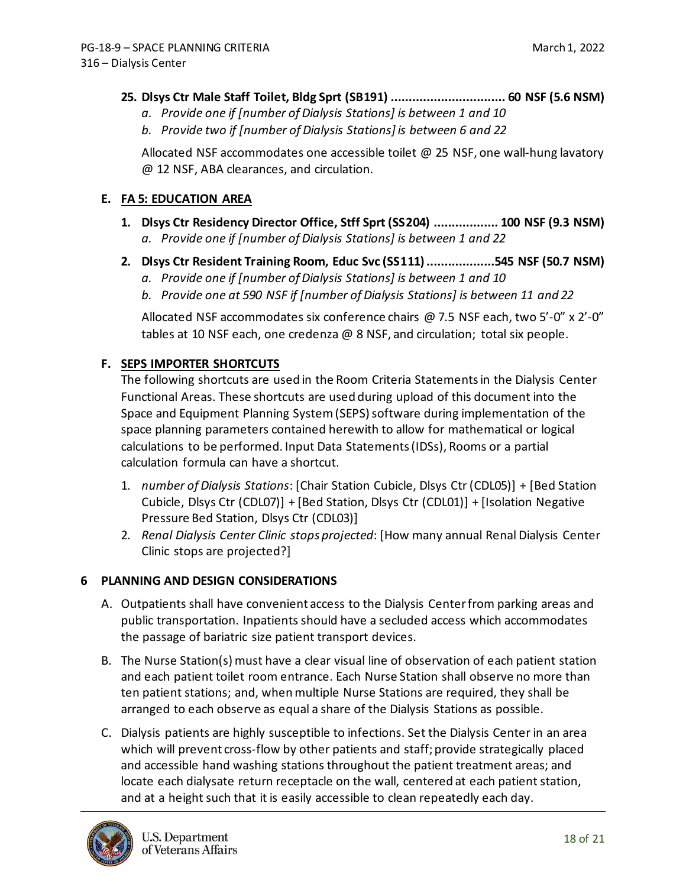### **25. Dlsys Ctr Male Staff Toilet, Bldg Sprt (SB191) ................................ 60 NSF (5.6 NSM)**

- *a. Provide one if [number of Dialysis Stations] is between 1 and 10*
- *b. Provide two if [number of Dialysis Stations] is between 6 and 22*

Allocated NSF accommodates one accessible toilet @ 25 NSF, one wall-hung lavatory @ 12 NSF, ABA clearances, and circulation.

#### **E. FA 5: EDUCATION AREA**

- **1. Dlsys Ctr Residency Director Office, Stff Sprt (SS204) .................. 100 NSF (9.3 NSM)** *a. Provide one if [number of Dialysis Stations] is between 1 and 22*
- **2. Dlsys Ctr Resident Training Room, Educ Svc (SS111)...................545 NSF (50.7 NSM)**
	- *a. Provide one if [number of Dialysis Stations] is between 1 and 10*
	- *b. Provide one at 590 NSF if [number of Dialysis Stations] is between 11 and 22*

Allocated NSF accommodates six conference chairs @ 7.5 NSF each, two 5'-0" x 2'-0" tables at 10 NSF each, one credenza @ 8 NSF, and circulation; total six people.

### **F. SEPS IMPORTER SHORTCUTS**

The following shortcuts are used in the Room Criteria Statements in the Dialysis Center Functional Areas. These shortcuts are used during upload of this document into the Space and Equipment Planning System (SEPS) software during implementation of the space planning parameters contained herewith to allow for mathematical or logical calculations to be performed. Input Data Statements (IDSs), Rooms or a partial calculation formula can have a shortcut.

- 1. *number of Dialysis Stations*: [Chair Station Cubicle, Dlsys Ctr (CDL05)] + [Bed Station Cubicle, Dlsys Ctr (CDL07)] + [Bed Station, Dlsys Ctr (CDL01)] + [Isolation Negative Pressure Bed Station, Dlsys Ctr (CDL03)]
- 2. *Renal Dialysis Center Clinic stops projected*: [How many annual Renal Dialysis Center Clinic stops are projected?]

### <span id="page-17-0"></span>**6 PLANNING AND DESIGN CONSIDERATIONS**

- A. Outpatients shall have convenient access to the Dialysis Center from parking areas and public transportation. Inpatients should have a secluded access which accommodates the passage of bariatric size patient transport devices.
- B. The Nurse Station(s) must have a clear visual line of observation of each patient station and each patient toilet room entrance. Each Nurse Station shall observe no more than ten patient stations; and, when multiple Nurse Stations are required, they shall be arranged to each observe as equal a share of the Dialysis Stations as possible.
- C. Dialysis patients are highly susceptible to infections. Set the Dialysis Center in an area which will prevent cross-flow by other patients and staff; provide strategically placed and accessible hand washing stations throughout the patient treatment areas; and locate each dialysate return receptacle on the wall, centered at each patient station, and at a height such that it is easily accessible to clean repeatedly each day.

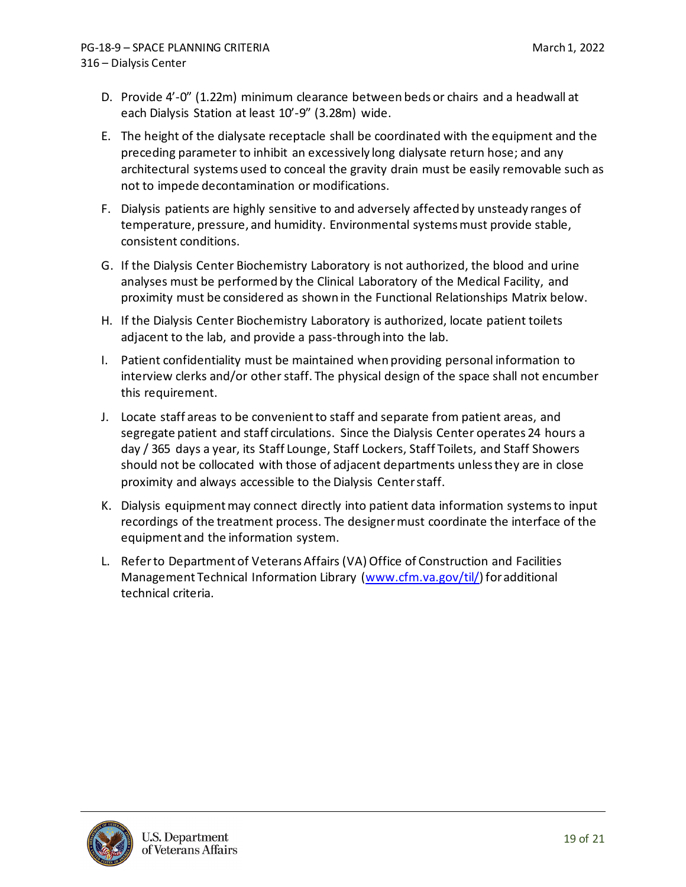- D. Provide 4'-0" (1.22m) minimum clearance between beds or chairs and a headwall at each Dialysis Station at least 10'-9" (3.28m) wide.
- E. The height of the dialysate receptacle shall be coordinated with the equipment and the preceding parameter to inhibit an excessively long dialysate return hose; and any architectural systems used to conceal the gravity drain must be easily removable such as not to impede decontamination or modifications.
- F. Dialysis patients are highly sensitive to and adversely affected by unsteady ranges of temperature, pressure, and humidity. Environmental systems must provide stable, consistent conditions.
- G. If the Dialysis Center Biochemistry Laboratory is not authorized, the blood and urine analyses must be performed by the Clinical Laboratory of the Medical Facility, and proximity must be considered as shown in the Functional Relationships Matrix below.
- H. If the Dialysis Center Biochemistry Laboratory is authorized, locate patient toilets adjacent to the lab, and provide a pass-through into the lab.
- I. Patient confidentiality must be maintained when providing personal information to interview clerks and/or other staff. The physical design of the space shall not encumber this requirement.
- J. Locate staff areas to be convenient to staff and separate from patient areas, and segregate patient and staff circulations. Since the Dialysis Center operates 24 hours a day / 365 days a year, its Staff Lounge, Staff Lockers, Staff Toilets, and Staff Showers should not be collocated with those of adjacent departments unless they are in close proximity and always accessible to the Dialysis Center staff.
- K. Dialysis equipment may connect directly into patient data information systems to input recordings of the treatment process. The designer must coordinate the interface of the equipment and the information system.
- L. Refer to Department of Veterans Affairs (VA) Office of Construction and Facilities Management Technical Information Library [\(www.cfm.va.gov/til/\)](http://www.cfm.va.gov/til/) for additional technical criteria.

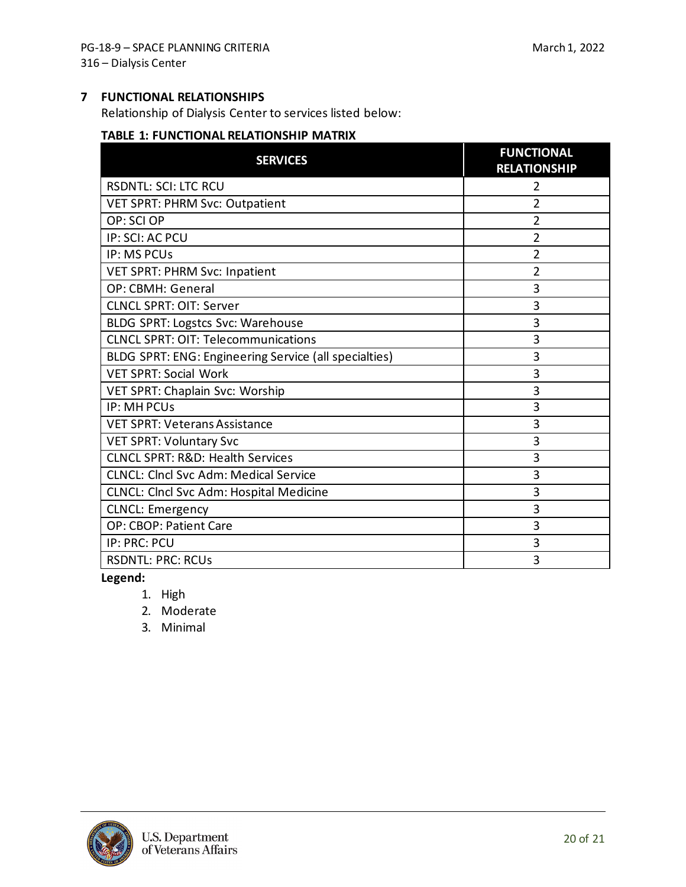### <span id="page-19-0"></span>**7 FUNCTIONAL RELATIONSHIPS**

Relationship of Dialysis Center to services listed below:

#### **TABLE 1: FUNCTIONAL RELATIONSHIP MATRIX**

| <b>SERVICES</b>                                       | <b>FUNCTIONAL</b><br><b>RELATIONSHIP</b> |
|-------------------------------------------------------|------------------------------------------|
| <b>RSDNTL: SCI: LTC RCU</b>                           | 2                                        |
| VET SPRT: PHRM Svc: Outpatient                        | 2                                        |
| OP: SCI OP                                            | 2                                        |
| IP: SCI: AC PCU                                       | 2                                        |
| <b>IP: MS PCUs</b>                                    | $\overline{2}$                           |
| VET SPRT: PHRM Svc: Inpatient                         | 2                                        |
| OP: CBMH: General                                     | 3                                        |
| <b>CLNCL SPRT: OIT: Server</b>                        | 3                                        |
| BLDG SPRT: Logstcs Svc: Warehouse                     | 3                                        |
| <b>CLNCL SPRT: OIT: Telecommunications</b>            | 3                                        |
| BLDG SPRT: ENG: Engineering Service (all specialties) | 3                                        |
| <b>VET SPRT: Social Work</b>                          | 3                                        |
| VET SPRT: Chaplain Svc: Worship                       | 3                                        |
| IP: MH PCUs                                           | 3                                        |
| <b>VET SPRT: Veterans Assistance</b>                  | 3                                        |
| <b>VET SPRT: Voluntary Svc</b>                        | 3                                        |
| <b>CLNCL SPRT: R&amp;D: Health Services</b>           | 3                                        |
| <b>CLNCL: Clncl Svc Adm: Medical Service</b>          | 3                                        |
| CLNCL: Clncl Svc Adm: Hospital Medicine               | 3                                        |
| <b>CLNCL: Emergency</b>                               | 3                                        |
| OP: CBOP: Patient Care                                | 3                                        |
| IP: PRC: PCU                                          | 3                                        |
| <b>RSDNTL: PRC: RCUs</b>                              | 3                                        |

**Legend:**

- 1. High
- 2. Moderate
- 3. Minimal